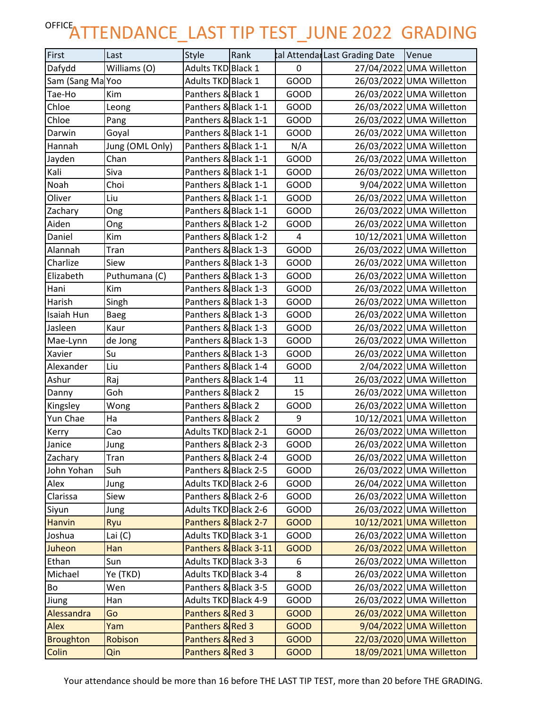## OFFICE<sub>ATTENDANCE\_LAST TIP TEST\_JUNE 2022 GRADING</sub>

| First            | Last            | <b>Style</b>         | Rank                  |             | tal Attendar Last Grading Date | Venue                    |
|------------------|-----------------|----------------------|-----------------------|-------------|--------------------------------|--------------------------|
| Dafydd           | Williams (O)    | Adults TKD Black 1   |                       | 0           |                                | 27/04/2022 UMA Willetton |
| Sam (Sang Ma Yoo |                 | Adults TKD Black 1   |                       | GOOD        |                                | 26/03/2022 UMA Willetton |
| Tae-Ho           | Kim             | Panthers & Black 1   |                       | <b>GOOD</b> |                                | 26/03/2022 UMA Willetton |
| Chloe            | Leong           | Panthers & Black 1-1 |                       | GOOD        |                                | 26/03/2022 UMA Willetton |
| Chloe            | Pang            | Panthers & Black 1-1 |                       | GOOD        |                                | 26/03/2022 UMA Willetton |
| Darwin           | Goyal           | Panthers & Black 1-1 |                       | GOOD        |                                | 26/03/2022 UMA Willetton |
| Hannah           | Jung (OML Only) | Panthers & Black 1-1 |                       | N/A         |                                | 26/03/2022 UMA Willetton |
| Jayden           | Chan            | Panthers & Black 1-1 |                       | GOOD        |                                | 26/03/2022 UMA Willetton |
| Kali             | Siva            | Panthers & Black 1-1 |                       | GOOD        |                                | 26/03/2022 UMA Willetton |
| Noah             | Choi            | Panthers & Black 1-1 |                       | GOOD        |                                | 9/04/2022 UMA Willetton  |
| Oliver           | Liu             | Panthers & Black 1-1 |                       | <b>GOOD</b> |                                | 26/03/2022 UMA Willetton |
| Zachary          | Ong             | Panthers & Black 1-1 |                       | <b>GOOD</b> |                                | 26/03/2022 UMA Willetton |
| Aiden            | Ong             | Panthers & Black 1-2 |                       | GOOD        |                                | 26/03/2022 UMA Willetton |
| Daniel           | Kim             | Panthers & Black 1-2 |                       | 4           |                                | 10/12/2021 UMA Willetton |
| Alannah          | Tran            | Panthers & Black 1-3 |                       | GOOD        |                                | 26/03/2022 UMA Willetton |
| Charlize         | Siew            | Panthers & Black 1-3 |                       | <b>GOOD</b> |                                | 26/03/2022 UMA Willetton |
| Elizabeth        | Puthumana (C)   | Panthers & Black 1-3 |                       | <b>GOOD</b> |                                | 26/03/2022 UMA Willetton |
| Hani             | Kim             | Panthers & Black 1-3 |                       | <b>GOOD</b> |                                | 26/03/2022 UMA Willetton |
| Harish           | Singh           | Panthers & Black 1-3 |                       | <b>GOOD</b> |                                | 26/03/2022 UMA Willetton |
| Isaiah Hun       | Baeg            | Panthers & Black 1-3 |                       | GOOD        |                                | 26/03/2022 UMA Willetton |
| Jasleen          | Kaur            | Panthers & Black 1-3 |                       | GOOD        |                                | 26/03/2022 UMA Willetton |
| Mae-Lynn         | de Jong         | Panthers & Black 1-3 |                       | GOOD        |                                | 26/03/2022 UMA Willetton |
| Xavier           | Su              | Panthers & Black 1-3 |                       | <b>GOOD</b> |                                | 26/03/2022 UMA Willetton |
| Alexander        | Liu             | Panthers & Black 1-4 |                       | GOOD        |                                | 2/04/2022 UMA Willetton  |
| Ashur            | Raj             | Panthers & Black 1-4 |                       | 11          |                                | 26/03/2022 UMA Willetton |
| Danny            | Goh             | Panthers & Black 2   |                       | 15          |                                | 26/03/2022 UMA Willetton |
| Kingsley         | Wong            | Panthers & Black 2   |                       | GOOD        |                                | 26/03/2022 UMA Willetton |
| Yun Chae         | Ha              | Panthers & Black 2   |                       | 9           |                                | 10/12/2021 UMA Willetton |
| Kerry            | Cao             | Adults TKD Black 2-1 |                       | GOOD        |                                | 26/03/2022 UMA Willetton |
| Janice           | Jung            | Panthers & Black 2-3 |                       | GOOD        |                                | 26/03/2022 UMA Willetton |
| Zachary          | Tran            | Panthers & Black 2-4 |                       | GOOD        |                                | 26/03/2022 UMA Willetton |
| John Yohan       | Suh             | Panthers & Black 2-5 |                       | GOOD        |                                | 26/03/2022 UMA Willetton |
| Alex             | Jung            | Adults TKD Black 2-6 |                       | GOOD        |                                | 26/04/2022 UMA Willetton |
| Clarissa         | Siew            | Panthers & Black 2-6 |                       | GOOD        |                                | 26/03/2022 UMA Willetton |
| Siyun            | Jung            | Adults TKD Black 2-6 |                       | GOOD        |                                | 26/03/2022 UMA Willetton |
| <b>Hanvin</b>    | Ryu             | Panthers & Black 2-7 |                       | <b>GOOD</b> |                                | 10/12/2021 UMA Willetton |
| Joshua           | Lai (C)         | Adults TKD Black 3-1 |                       | GOOD        |                                | 26/03/2022 UMA Willetton |
| Juheon           | Han             |                      | Panthers & Black 3-11 | <b>GOOD</b> |                                | 26/03/2022 UMA Willetton |
| Ethan            | Sun             | Adults TKD Black 3-3 |                       | 6           |                                | 26/03/2022 UMA Willetton |
| Michael          | Ye (TKD)        | Adults TKD Black 3-4 |                       | 8           |                                | 26/03/2022 UMA Willetton |
| Bo               | Wen             | Panthers & Black 3-5 |                       | GOOD        |                                | 26/03/2022 UMA Willetton |
| Jiung            | Han             | Adults TKD Black 4-9 |                       | GOOD        |                                | 26/03/2022 UMA Willetton |
| Alessandra       | Go              | Panthers & Red 3     |                       | <b>GOOD</b> |                                | 26/03/2022 UMA Willetton |
| Alex             | Yam             | Panthers & Red 3     |                       | <b>GOOD</b> |                                | 9/04/2022 UMA Willetton  |
| <b>Broughton</b> | Robison         | Panthers & Red 3     |                       | <b>GOOD</b> |                                | 22/03/2020 UMA Willetton |
| Colin            | Qin             | Panthers & Red 3     |                       | <b>GOOD</b> |                                | 18/09/2021 UMA Willetton |

Your attendance should be more than 16 before THE LAST TIP TEST, more than 20 before THE GRADING.